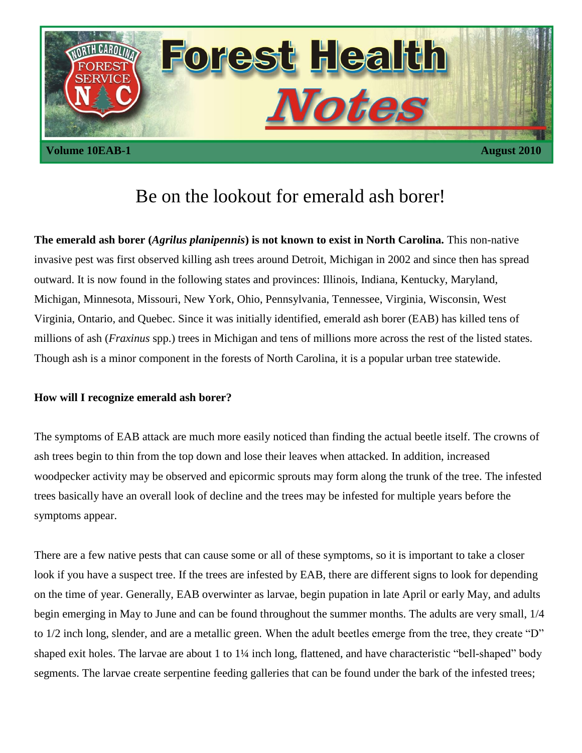

# Be on the lookout for emerald ash borer!

**The emerald ash borer (***Agrilus planipennis***) is not known to exist in North Carolina.** This non-native invasive pest was first observed killing ash trees around Detroit, Michigan in 2002 and since then has spread outward. It is now found in the following states and provinces: Illinois, Indiana, Kentucky, Maryland, Michigan, Minnesota, Missouri, New York, Ohio, Pennsylvania, Tennessee, Virginia, Wisconsin, West Virginia, Ontario, and Quebec. Since it was initially identified, emerald ash borer (EAB) has killed tens of millions of ash (*Fraxinus* spp.) trees in Michigan and tens of millions more across the rest of the listed states. Though ash is a minor component in the forests of North Carolina, it is a popular urban tree statewide.

## **How will I recognize emerald ash borer?**

The symptoms of EAB attack are much more easily noticed than finding the actual beetle itself. The crowns of ash trees begin to thin from the top down and lose their leaves when attacked. In addition, increased woodpecker activity may be observed and epicormic sprouts may form along the trunk of the tree. The infested trees basically have an overall look of decline and the trees may be infested for multiple years before the symptoms appear.

There are a few native pests that can cause some or all of these symptoms, so it is important to take a closer look if you have a suspect tree. If the trees are infested by EAB, there are different signs to look for depending on the time of year. Generally, EAB overwinter as larvae, begin pupation in late April or early May, and adults begin emerging in May to June and can be found throughout the summer months. The adults are very small, 1/4 to 1/2 inch long, slender, and are a metallic green. When the adult beetles emerge from the tree, they create "D" shaped exit holes. The larvae are about 1 to 1¼ inch long, flattened, and have characteristic "bell-shaped" body segments. The larvae create serpentine feeding galleries that can be found under the bark of the infested trees;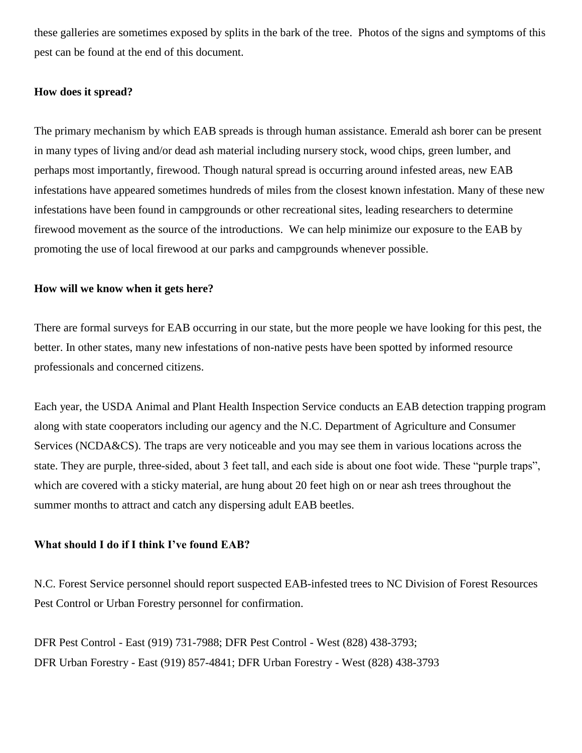these galleries are sometimes exposed by splits in the bark of the tree. Photos of the signs and symptoms of this pest can be found at the end of this document.

## **How does it spread?**

The primary mechanism by which EAB spreads is through human assistance. Emerald ash borer can be present in many types of living and/or dead ash material including nursery stock, wood chips, green lumber, and perhaps most importantly, firewood. Though natural spread is occurring around infested areas, new EAB infestations have appeared sometimes hundreds of miles from the closest known infestation. Many of these new infestations have been found in campgrounds or other recreational sites, leading researchers to determine firewood movement as the source of the introductions. We can help minimize our exposure to the EAB by promoting the use of local firewood at our parks and campgrounds whenever possible.

#### **How will we know when it gets here?**

There are formal surveys for EAB occurring in our state, but the more people we have looking for this pest, the better. In other states, many new infestations of non-native pests have been spotted by informed resource professionals and concerned citizens.

Each year, the USDA Animal and Plant Health Inspection Service conducts an EAB detection trapping program along with state cooperators including our agency and the N.C. Department of Agriculture and Consumer Services (NCDA&CS). The traps are very noticeable and you may see them in various locations across the state. They are purple, three-sided, about 3 feet tall, and each side is about one foot wide. These "purple traps", which are covered with a sticky material, are hung about 20 feet high on or near ash trees throughout the summer months to attract and catch any dispersing adult EAB beetles.

#### **What should I do if I think I've found EAB?**

N.C. Forest Service personnel should report suspected EAB-infested trees to NC Division of Forest Resources Pest Control or Urban Forestry personnel for confirmation.

DFR Pest Control - East (919) 731-7988; DFR Pest Control - West (828) 438-3793; DFR Urban Forestry - East (919) 857-4841; DFR Urban Forestry - West (828) 438-3793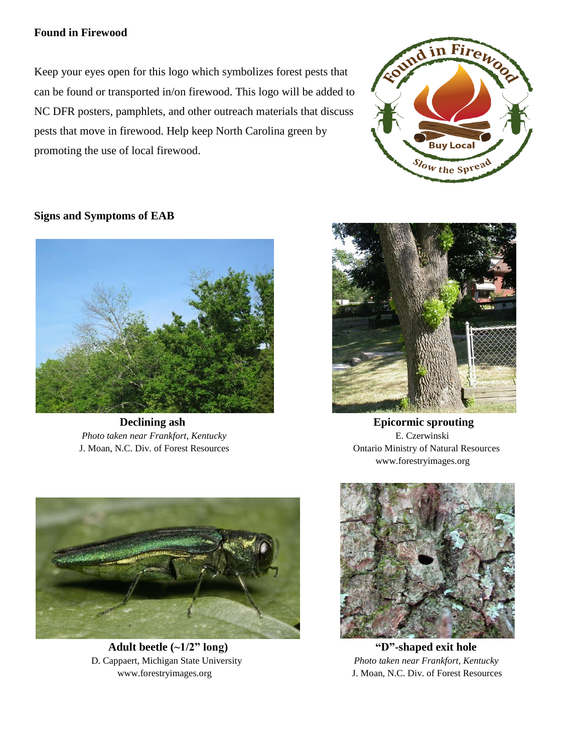# **Found in Firewood**

Keep your eyes open for this logo which symbolizes forest pests that can be found or transported in/on firewood. This logo will be added to NC DFR posters, pamphlets, and other outreach materials that discuss pests that move in firewood. Help keep North Carolina green by promoting the use of local firewood.



## **Signs and Symptoms of EAB**



 *Photo taken near Frankfort, Kentucky* E. Czerwinski J. Moan, N.C. Div. of Forest Resources Ontario Ministry of Natural Resources



**Declining ash Epicormic sprouting** www.forestryimages.org



 **Adult beetle (~1/2" long) "D"-shaped exit hole**  D. Cappaert, Michigan State University *Photo taken near Frankfort, Kentucky*



www.forestryimages.org J. Moan, N.C. Div. of Forest Resources